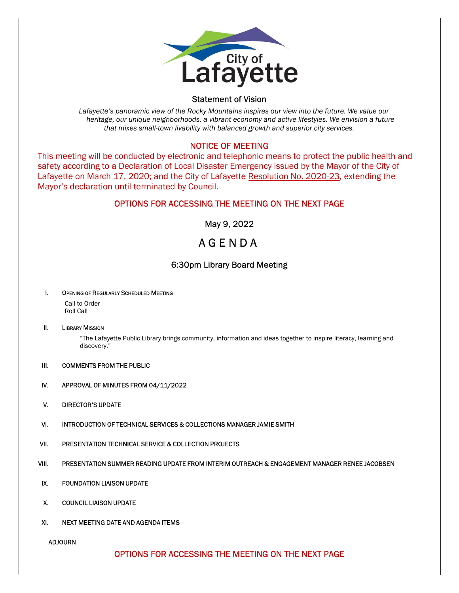

#### Statement of Vision

 Lafayette's panoramic view of the Rocky Mountains inspires our view into the future. We value our heritage, our unique neighborhoods, a vibrant economy and active lifestyles. We envision a future that mixes small-town livability with balanced growth and superior city services.

#### NOTICE OF MEETING

This meeting will be conducted by electronic and telephonic means to protect the public health and safety according to a Declaration of Local Disaster Emergency issued by the Mayor of the City of Lafayette on March 17, 2020; and the City of Lafayette Resolution No. 2020-23, extending the Mayor's declaration until terminated by Council.

## OPTIONS FOR ACCESSING THE MEETING ON THE NEXT PAGE

May 9, 2022

# A G E N D A

## 6:30pm Library Board Meeting

#### I. OPENING OF REGULARLY SCHEDULED MEETING

Call to Order Roll Call

#### II. LIBRARY MISSION

"The Lafayette Public Library brings community, information and ideas together to inspire literacy, learning and discovery."

- III. COMMENTS FROM THE PUBLIC
- IV. APPROVAL OF MINUTES FROM 04/11/2022
- V. DIRECTOR'S UPDATE
- VI. INTRODUCTION OF TECHNICAL SERVICES & COLLECTIONS MANAGER JAMIE SMITH
- VII. PRESENTATION TECHNICAL SERVICE & COLLECTION PROJECTS
- VIII. PRESENTATION SUMMER READING UPDATE FROM INTERIM OUTREACH & ENGAGEMENT MANAGER RENEE JACOBSEN
- IX. FOUNDATION LIAISON UPDATE
- X. COUNCIL LIAISON UPDATE
- XI. NEXT MEETING DATE AND AGENDA ITEMS

ADJOURN

# OPTIONS FOR ACCESSING THE MEETING ON THE NEXT PAGE